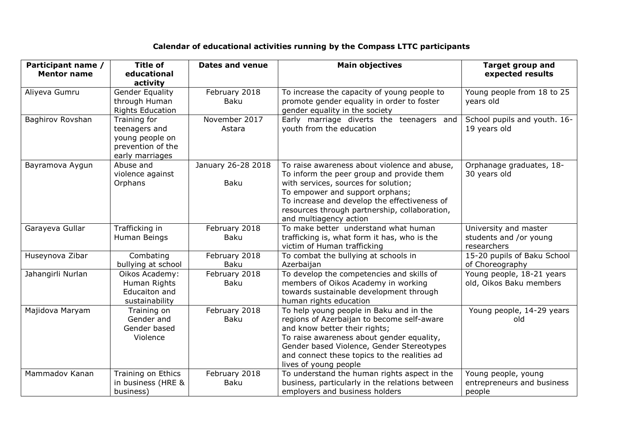## **Calendar of educational activities running by the Compass LTTC participants**

| Participant name / | <b>Title of</b>         | <b>Dates and venue</b> | <b>Main objectives</b>                                                  | <b>Target group and</b>      |
|--------------------|-------------------------|------------------------|-------------------------------------------------------------------------|------------------------------|
| <b>Mentor name</b> | educational             |                        |                                                                         | expected results             |
|                    | activity                |                        |                                                                         |                              |
| Aliyeva Gumru      | <b>Gender Equality</b>  | February 2018          | To increase the capacity of young people to                             | Young people from 18 to 25   |
|                    | through Human           | <b>Baku</b>            | promote gender equality in order to foster                              | years old                    |
|                    | <b>Rights Education</b> |                        | gender equality in the society                                          |                              |
| Baghirov Rovshan   | Training for            | November 2017          | Early marriage diverts the teenagers and                                | School pupils and youth. 16- |
|                    | teenagers and           | Astara                 | youth from the education                                                | 19 years old                 |
|                    | young people on         |                        |                                                                         |                              |
|                    | prevention of the       |                        |                                                                         |                              |
|                    | early marriages         |                        |                                                                         |                              |
| Bayramova Aygun    | Abuse and               | January 26-28 2018     | To raise awareness about violence and abuse,                            | Orphanage graduates, 18-     |
|                    | violence against        |                        | To inform the peer group and provide them                               | 30 years old                 |
|                    | Orphans                 | <b>Baku</b>            | with services, sources for solution;<br>To empower and support orphans; |                              |
|                    |                         |                        | To increase and develop the effectiveness of                            |                              |
|                    |                         |                        | resources through partnership, collaboration,                           |                              |
|                    |                         |                        | and multiagency action                                                  |                              |
| Garayeva Gullar    | Trafficking in          | February 2018          | To make better understand what human                                    | University and master        |
|                    | Human Beings            | <b>Baku</b>            | trafficking is, what form it has, who is the                            | students and /or young       |
|                    |                         |                        | victim of Human trafficking                                             | researchers                  |
| Huseynova Zibar    | Combating               | February 2018          | To combat the bullying at schools in                                    | 15-20 pupils of Baku School  |
|                    | bullying at school      | <b>Baku</b>            | Azerbaijan                                                              | of Choreography              |
| Jahangirli Nurlan  | Oikos Academy:          | February 2018          | To develop the competencies and skills of                               | Young people, 18-21 years    |
|                    | Human Rights            | <b>Baku</b>            | members of Oikos Academy in working                                     | old, Oikos Baku members      |
|                    | Educaiton and           |                        | towards sustainable development through                                 |                              |
|                    | sustainability          |                        | human rights education                                                  |                              |
| Majidova Maryam    | Training on             | February 2018          | To help young people in Baku and in the                                 | Young people, 14-29 years    |
|                    | Gender and              | <b>Baku</b>            | regions of Azerbaijan to become self-aware                              | old                          |
|                    | Gender based            |                        | and know better their rights;                                           |                              |
|                    | Violence                |                        | To raise awareness about gender equality,                               |                              |
|                    |                         |                        | Gender based Violence, Gender Stereotypes                               |                              |
|                    |                         |                        | and connect these topics to the realities ad                            |                              |
|                    |                         |                        | lives of young people                                                   |                              |
| Mammadov Kanan     | Training on Ethics      | February 2018          | To understand the human rights aspect in the                            | Young people, young          |
|                    | in business (HRE &      | <b>Baku</b>            | business, particularly in the relations between                         | entrepreneurs and business   |
|                    | business)               |                        | employers and business holders                                          | people                       |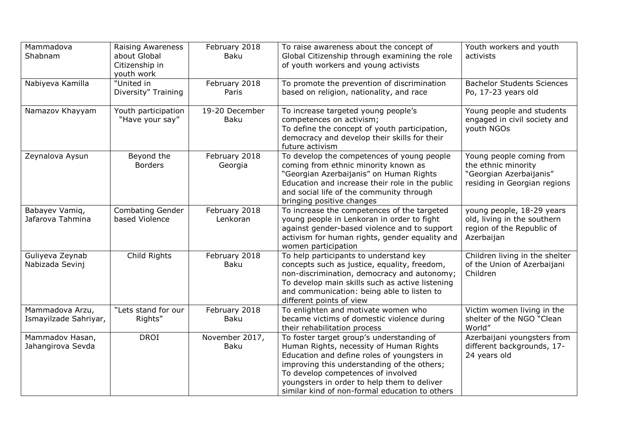| Mammadova<br>Shabnam                     | <b>Raising Awareness</b><br>about Global<br>Citizenship in<br>youth work | February 2018<br>Baku         | To raise awareness about the concept of<br>Global Citizenship through examining the role<br>of youth workers and young activists                                                                                                                                                                                          | Youth workers and youth<br>activists                                                                       |
|------------------------------------------|--------------------------------------------------------------------------|-------------------------------|---------------------------------------------------------------------------------------------------------------------------------------------------------------------------------------------------------------------------------------------------------------------------------------------------------------------------|------------------------------------------------------------------------------------------------------------|
| Nabiyeva Kamilla                         | "United in<br>Diversity" Training                                        | February 2018<br>Paris        | To promote the prevention of discrimination<br>based on religion, nationality, and race                                                                                                                                                                                                                                   | <b>Bachelor Students Sciences</b><br>Po, 17-23 years old                                                   |
| Namazov Khayyam                          | Youth participation<br>"Have your say"                                   | 19-20 December<br><b>Baku</b> | To increase targeted young people's<br>competences on activism;<br>To define the concept of youth participation,<br>democracy and develop their skills for their<br>future activism                                                                                                                                       | Young people and students<br>engaged in civil society and<br>youth NGOs                                    |
| Zeynalova Aysun                          | Beyond the<br><b>Borders</b>                                             | February 2018<br>Georgia      | To develop the competences of young people<br>coming from ethnic minority known as<br>"Georgian Azerbaijanis" on Human Rights<br>Education and increase their role in the public<br>and social life of the community through<br>bringing positive changes                                                                 | Young people coming from<br>the ethnic minority<br>"Georgian Azerbaijanis"<br>residing in Georgian regions |
| Babayev Vamiq,<br>Jafarova Tahmina       | <b>Combating Gender</b><br>based Violence                                | February 2018<br>Lenkoran     | To increase the competences of the targeted<br>young people in Lenkoran in order to fight<br>against gender-based violence and to support<br>activism for human rights, gender equality and<br>women participation                                                                                                        | young people, 18-29 years<br>old, living in the southern<br>region of the Republic of<br>Azerbaijan        |
| Guliyeva Zeynab<br>Nabizada Sevinj       | Child Rights                                                             | February 2018<br>Baku         | To help participants to understand key<br>concepts such as justice, equality, freedom,<br>non-discrimination, democracy and autonomy;<br>To develop main skills such as active listening<br>and communication: being able to listen to<br>different points of view                                                        | Children living in the shelter<br>of the Union of Azerbaijani<br>Children                                  |
| Mammadova Arzu,<br>Ismayilzade Sahriyar, | "Lets stand for our<br>Rights"                                           | February 2018<br><b>Baku</b>  | To enlighten and motivate women who<br>became victims of domestic violence during<br>their rehabilitation process                                                                                                                                                                                                         | Victim women living in the<br>shelter of the NGO "Clean<br>World"                                          |
| Mammadov Hasan,<br>Jahangirova Sevda     | <b>DROI</b>                                                              | November 2017,<br>Baku        | To foster target group's understanding of<br>Human Rights, necessity of Human Rights<br>Education and define roles of youngsters in<br>improving this understanding of the others;<br>To develop competences of involved<br>youngsters in order to help them to deliver<br>similar kind of non-formal education to others | Azerbaijani youngsters from<br>different backgrounds, 17-<br>24 years old                                  |